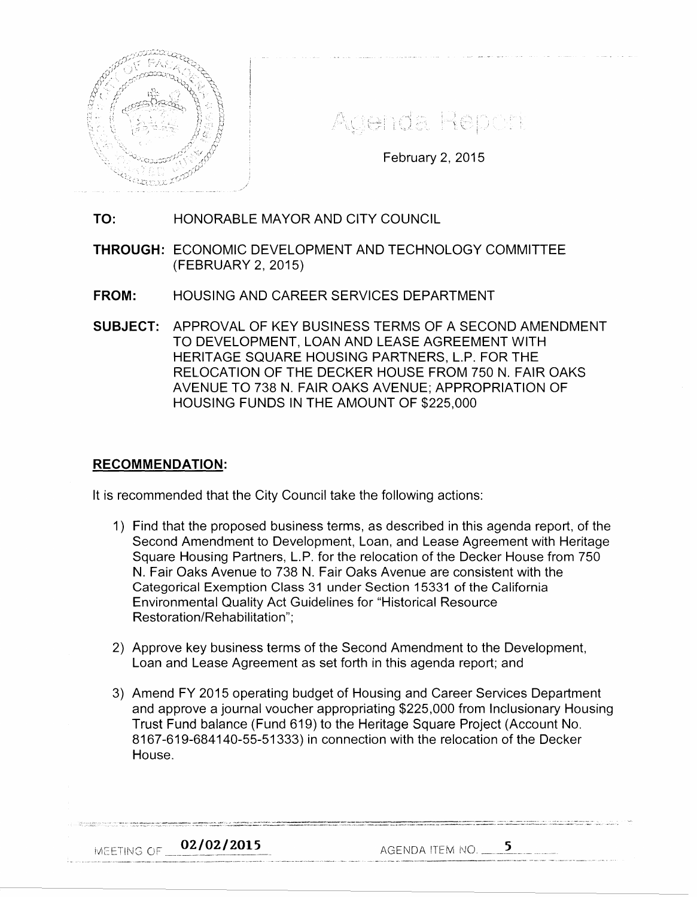

Agenda Report

February 2, 2015

# **TO:** HONORABLE MAYOR AND CITY COUNCIL

**THROUGH:** ECONOMIC DEVELOPMENT AND TECHNOLOGY COMMITTEE (FEBRUARY 2, 2015)

- **FROM:** HOUSING AND CAREER SERVICES DEPARTMENT
- **SUBJECT:** APPROVAL OF KEY BUSINESS TERMS OF A SECOND AMENDMENT TO DEVELOPMENT, LOAN AND LEASE AGREEMENT WITH HERITAGE SQUARE HOUSING PARTNERS, L.P. FOR THE RELOCATION OF THE DECKER HOUSE FROM 750 N. FAIR OAKS AVENUE TO 738 N. FAIR OAKS AVENUE; APPROPRIATION OF HOUSING FUNDS IN THE AMOUNT OF \$225,000

#### **RECOMMENDATION:**

It is recommended that the City Council take the following actions:

- 1) Find that the proposed business terms, as described in this agenda report, of the Second Amendment to Development, Loan, and Lease Agreement with Heritage Square Housing Partners, L.P. for the relocation of the Decker House from 750 N. Fair Oaks Avenue to 738 N. Fair Oaks Avenue are consistent with the Categorical Exemption Class 31 under Section 15331 of the California Environmental Quality Act Guidelines for "Historical Resource Restoration/Rehabilitation";
- 2) Approve key business terms of the Second Amendment to the Development, Loan and Lease Agreement as set forth in this agenda report; and
- 3) Amend FY 2015 operating budget of Housing and Career Services Department and approve a journal voucher appropriating \$225,000 from lnclusionary Housing Trust Fund balance (Fund 619) to the Heritage Square Project (Account No. 8167-619-684140-55-51333) in connection with the relocation of the Decker House.

02/02/2015 **IMEETING OF \_** 

AGENDA iTEM i\J.O. -----~---- \_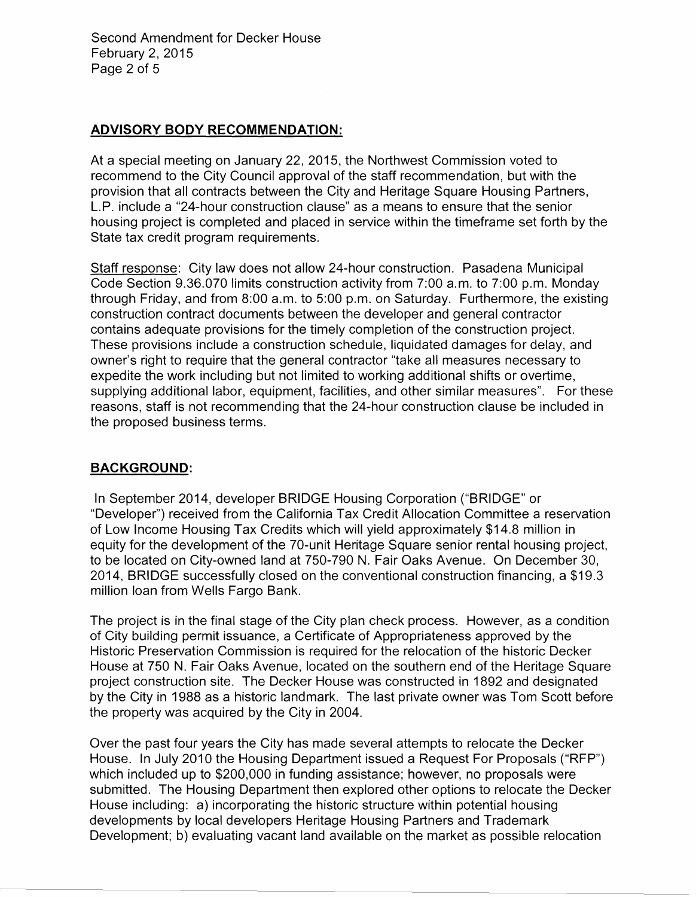Second Amendment for Decker House February 2, 2015 Page 2 of 5

### **ADVISORY BODY RECOMMENDATION:**

At a special meeting on January 22, 2015, the Northwest Commission voted to recommend to the City Council approval of the staff recommendation, but with the provision that all contracts between the City and Heritage Square Housing Partners, L.P. include a "24-hour construction clause" as a means to ensure that the senior housing project is completed and placed in service within the timeframe set forth by the State tax credit program requirements.

Staff response: City law does not allow 24-hour construction. Pasadena Municipal Code Section 9.36.070 limits construction activity from 7:00 a.m. to 7:00 p.m. Monday through Friday, and from 8:00 a.m. to 5:00 p.m. on Saturday. Furthermore, the existing construction contract documents between the developer and general contractor contains adequate provisions for the timely completion of the construction project. These provisions include a construction schedule, liquidated damages for delay, and owner's right to require that the general contractor "take all measures necessary to expedite the work including but not limited to working additional shifts or overtime, supplying additional labor, equipment, facilities, and other similar measures". For these reasons, staff is not recommending that the 24-hour construction clause be included in the proposed business terms.

#### **BACKGROUND:**

In September 2014, developer BRIDGE Housing Corporation ("BRIDGE" or "Developer") received from the California Tax Credit Allocation Committee a reservation of Low Income Housing Tax Credits which will yield approximately \$14.8 million in equity for the development of the 70-unit Heritage Square senior rental housing project, to be located on City-owned land at 750-790 N. Fair Oaks Avenue. On December 30, 2014, BRIDGE successfully closed on the conventional construction financing, a \$19.3 million loan from Wells Fargo Bank.

The project is in the final stage of the City plan check process. However, as a condition of City building permit issuance, a Certificate of Appropriateness approved by the Historic Preservation Commission is required for the relocation of the historic Decker House at 750 N. Fair Oaks Avenue, located on the southern end of the Heritage Square project construction site. The Decker House was constructed in 1892 and designated by the City in 1988 as a historic landmark. The last private owner was Tom Scott before the property was acquired by the City in 2004.

Over the past four years the City has made several attempts to relocate the Decker House. In July 2010 the Housing Department issued a Request For Proposals ("RFP") which included up to \$200,000 in funding assistance; however, no proposals were submitted. The Housing Department then explored other options to relocate the Decker House including: a) incorporating the historic structure within potential housing developments by local developers Heritage Housing Partners and Trademark Development; b) evaluating vacant land available on the market as possible relocation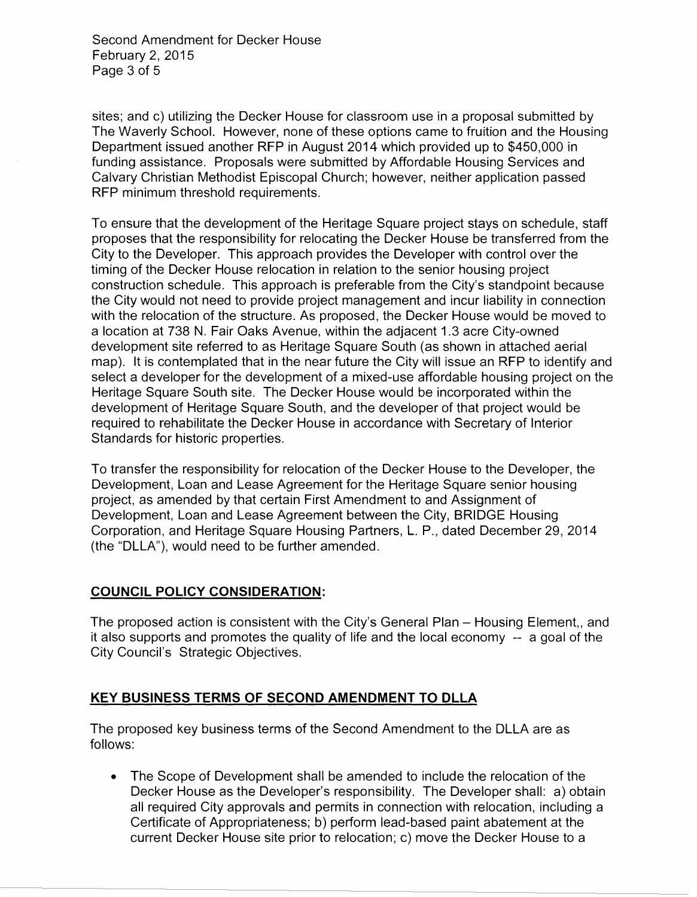Second Amendment for Decker House February 2, 2015 Page 3 of 5

sites; and c) utilizing the Decker House for classroom use in a proposal submitted by The Waverly School. However, none of these options came to fruition and the Housing Department issued another RFP in August 2014 which provided up to \$450,000 in funding assistance. Proposals were submitted by Affordable Housing Services and Calvary Christian Methodist Episcopal Church; however, neither application passed RFP minimum threshold requirements.

To ensure that the development of the Heritage Square project stays on schedule, staff proposes that the responsibility for relocating the Decker House be transferred from the City to the Developer. This approach provides the Developer with control over the timing of the Decker House relocation in relation to the senior housing project construction schedule. This approach is preferable from the City's standpoint because the City would not need to provide project management and incur liability in connection with the relocation of the structure. As proposed, the Decker House would be moved to a location at 738 N. Fair Oaks Avenue, within the adjacent 1.3 acre City-owned development site referred to as Heritage Square South (as shown in attached aerial map). It is contemplated that in the near future the City will issue an RFP to identify and select a developer for the development of a mixed-use affordable housing project on the Heritage Square South site. The Decker House would be incorporated within the development of Heritage Square South, and the developer of that project would be required to rehabilitate the Decker House in accordance with Secretary of Interior Standards for historic properties.

To transfer the responsibility for relocation of the Decker House to the Developer, the Development, Loan and Lease Agreement for the Heritage Square senior housing project, as amended by that certain First Amendment to and Assignment of Development, Loan and Lease Agreement between the City, BRIDGE Housing Corporation, and Heritage Square Housing Partners, L. P., dated December 29, 2014 (the "DLLA"), would need to be further amended.

## COUNCIL POLICY CONSIDERATION:

The proposed action is consistent with the City's General Plan - Housing Element,, and it also supports and promotes the quality of life and the local economy -- a goal of the City Council's Strategic Objectives.

## KEY BUSINESS TERMS OF SECOND AMENDMENT TO DLLA

The proposed key business terms of the Second Amendment to the DLLA are as follows:

• The Scope of Development shall be amended to include the relocation of the Decker House as the Developer's responsibility. The Developer shall: a) obtain all required City approvals and permits in connection with relocation, including a Certificate of Appropriateness; b) perform lead-based paint abatement at the current Decker House site prior to relocation; c) move the Decker House to a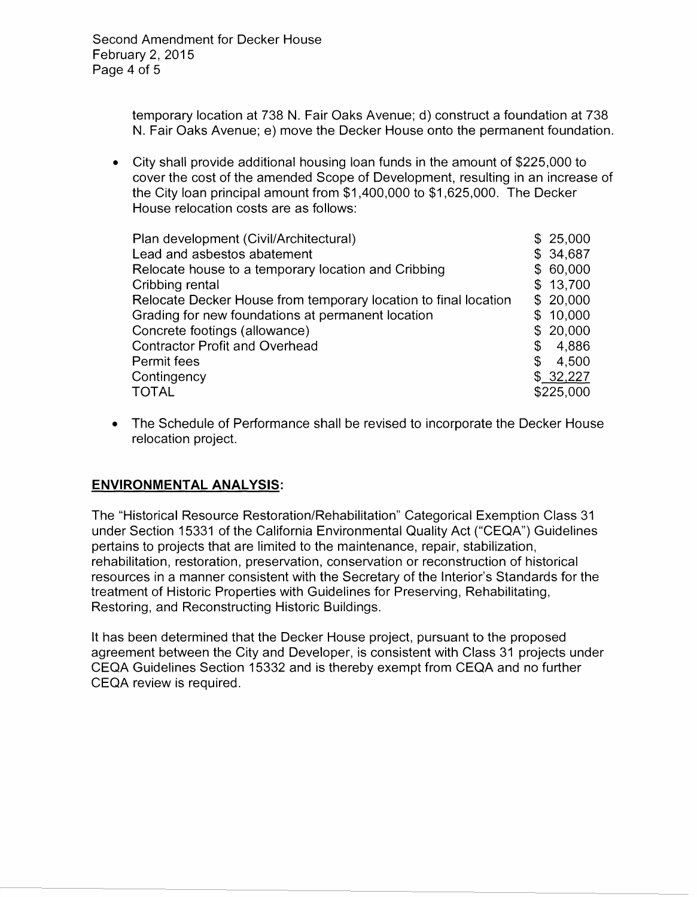temporary location at 738 N. Fair Oaks Avenue; d) construct a foundation at 738 N. Fair Oaks Avenue; e) move the Decker House onto the permanent foundation.

• City shall provide additional housing loan funds in the amount of \$225,000 to cover the cost of the amended Scope of Development, resulting in an increase of the City loan principal amount from \$1,400,000 to \$1,625,000. The Decker House relocation costs are as follows:

| Plan development (Civil/Architectural)                          | \$25,000    |
|-----------------------------------------------------------------|-------------|
| Lead and asbestos abatement                                     | \$34,687    |
| Relocate house to a temporary location and Cribbing             | \$60,000    |
| Cribbing rental                                                 | \$13,700    |
| Relocate Decker House from temporary location to final location | \$20,000    |
| Grading for new foundations at permanent location               | \$10,000    |
| Concrete footings (allowance)                                   | \$20,000    |
| <b>Contractor Profit and Overhead</b>                           | \$<br>4,886 |
| Permit fees                                                     | \$<br>4,500 |
| Contingency                                                     | \$32,227    |
| <b>TOTAL</b>                                                    | \$225,000   |

• The Schedule of Performance shall be revised to incorporate the Decker House relocation project.

# **ENVIRONMENTAL ANALYSIS:**

The "Historical Resource Restoration/Rehabilitation" Categorical Exemption Class 31 under Section 15331 of the California Environmental Quality Act ("CEQA") Guidelines pertains to projects that are limited to the maintenance, repair, stabilization, rehabilitation, restoration, preservation, conservation or reconstruction of historical resources in a manner consistent with the Secretary of the Interior's Standards for the treatment of Historic Properties with Guidelines for Preserving, Rehabilitating, Restoring, and Reconstructing Historic Buildings.

It has been determined that the Decker House project, pursuant to the proposed agreement between the City and Developer, is consistent with Class 31 projects under CEQA Guidelines Section 15332 and is thereby exempt from CEQA and no further CEQA review is required.